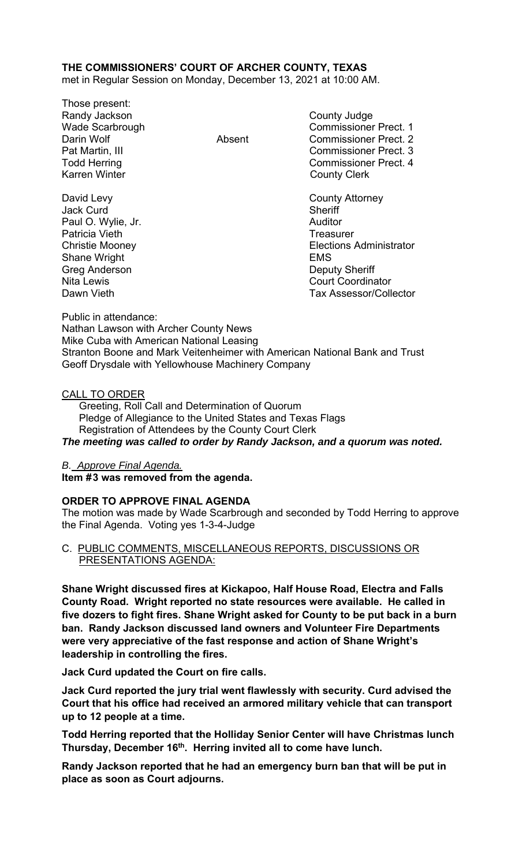# **THE COMMISSIONERS' COURT OF ARCHER COUNTY, TEXAS**

met in Regular Session on Monday, December 13, 2021 at 10:00 AM.

Those present: Randy Jackson **County Judge** Karren Winter **County Clerk** 

David Levy **County Attorney** Jack Curd **Sheriff** Paul O. Wylie, Jr. **Auditor Paul O. Wylie, Jr. Auditor** Patricia Vieth **Treasurer** Treasurer Shane Wright **EMS** Greg Anderson **Deputy Sheriff** 

Wade Scarbrough Commissioner Prect. 1 Darin Wolf Absent Commissioner Prect. 2 Pat Martin, III Commissioner Prect. 3 Todd Herring Todd Exercise Commissioner Prect. 4

Christie Mooney Elections Administrator Nita Lewis **Court Coordinator** Dawn Vieth **Tax Assessor/Collector** 

Public in attendance: Nathan Lawson with Archer County News Mike Cuba with American National Leasing Stranton Boone and Mark Veitenheimer with American National Bank and Trust Geoff Drysdale with Yellowhouse Machinery Company

### CALL TO ORDER

 Greeting, Roll Call and Determination of Quorum Pledge of Allegiance to the United States and Texas Flags Registration of Attendees by the County Court Clerk *The meeting was called to order by Randy Jackson, and a quorum was noted.* 

### *B. Approve Final Agenda.*

Item #3 was removed from the agenda.

### **ORDER TO APPROVE FINAL AGENDA**

The motion was made by Wade Scarbrough and seconded by Todd Herring to approve the Final Agenda. Voting yes 1-3-4-Judge

### C. PUBLIC COMMENTS, MISCELLANEOUS REPORTS, DISCUSSIONS OR PRESENTATIONS AGENDA:

**Shane Wright discussed fires at Kickapoo, Half House Road, Electra and Falls County Road. Wright reported no state resources were available. He called in five dozers to fight fires. Shane Wright asked for County to be put back in a burn ban. Randy Jackson discussed land owners and Volunteer Fire Departments were very appreciative of the fast response and action of Shane Wright's leadership in controlling the fires.** 

**Jack Curd updated the Court on fire calls.** 

**Jack Curd reported the jury trial went flawlessly with security. Curd advised the Court that his office had received an armored military vehicle that can transport up to 12 people at a time.** 

**Todd Herring reported that the Holliday Senior Center will have Christmas lunch Thursday, December 16th. Herring invited all to come have lunch.** 

**Randy Jackson reported that he had an emergency burn ban that will be put in place as soon as Court adjourns.**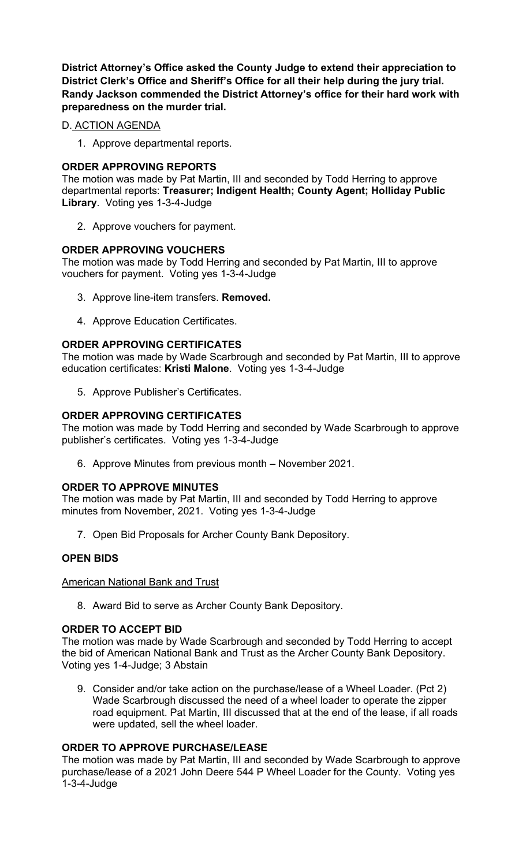**District Attorney's Office asked the County Judge to extend their appreciation to District Clerk's Office and Sheriff's Office for all their help during the jury trial. Randy Jackson commended the District Attorney's office for their hard work with preparedness on the murder trial.** 

# D. ACTION AGENDA

1. Approve departmental reports.

## **ORDER APPROVING REPORTS**

The motion was made by Pat Martin, III and seconded by Todd Herring to approve departmental reports: **Treasurer; Indigent Health; County Agent; Holliday Public Library**. Voting yes 1-3-4-Judge

2. Approve vouchers for payment.

## **ORDER APPROVING VOUCHERS**

The motion was made by Todd Herring and seconded by Pat Martin, III to approve vouchers for payment. Voting yes 1-3-4-Judge

- 3. Approve line-item transfers. **Removed.**
- 4. Approve Education Certificates.

## **ORDER APPROVING CERTIFICATES**

The motion was made by Wade Scarbrough and seconded by Pat Martin, III to approve education certificates: **Kristi Malone**. Voting yes 1-3-4-Judge

5. Approve Publisher's Certificates.

## **ORDER APPROVING CERTIFICATES**

The motion was made by Todd Herring and seconded by Wade Scarbrough to approve publisher's certificates. Voting yes 1-3-4-Judge

6. Approve Minutes from previous month – November 2021.

### **ORDER TO APPROVE MINUTES**

The motion was made by Pat Martin, III and seconded by Todd Herring to approve minutes from November, 2021. Voting yes 1-3-4-Judge

7. Open Bid Proposals for Archer County Bank Depository.

# **OPEN BIDS**

American National Bank and Trust

8. Award Bid to serve as Archer County Bank Depository.

### **ORDER TO ACCEPT BID**

The motion was made by Wade Scarbrough and seconded by Todd Herring to accept the bid of American National Bank and Trust as the Archer County Bank Depository. Voting yes 1-4-Judge; 3 Abstain

9. Consider and/or take action on the purchase/lease of a Wheel Loader. (Pct 2) Wade Scarbrough discussed the need of a wheel loader to operate the zipper road equipment. Pat Martin, III discussed that at the end of the lease, if all roads were updated, sell the wheel loader.

# **ORDER TO APPROVE PURCHASE/LEASE**

The motion was made by Pat Martin, III and seconded by Wade Scarbrough to approve purchase/lease of a 2021 John Deere 544 P Wheel Loader for the County. Voting yes 1-3-4-Judge